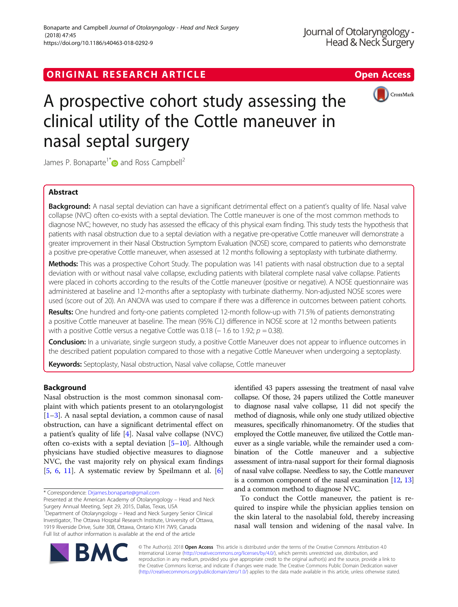## ORIGINAL RESEARCH ARTICLE **Solution Contract Contract Contract Contract Contract Contract Contract Contract Contract Contract Contract Contract Contract Contract Contract Contract Contract Contract Contract Contract Contra**



# A prospective cohort study assessing the clinical utility of the Cottle maneuver in nasal septal surgery

James P. Bonaparte<sup>1\*</sup> and Ross Campbell<sup>2</sup>

## Abstract

Background: A nasal septal deviation can have a significant detrimental effect on a patient's quality of life. Nasal valve collapse (NVC) often co-exists with a septal deviation. The Cottle maneuver is one of the most common methods to diagnose NVC; however, no study has assessed the efficacy of this physical exam finding. This study tests the hypothesis that patients with nasal obstruction due to a septal deviation with a negative pre-operative Cottle maneuver will demonstrate a greater improvement in their Nasal Obstruction Symptom Evaluation (NOSE) score, compared to patients who demonstrate a positive pre-operative Cottle maneuver, when assessed at 12 months following a septoplasty with turbinate diathermy.

Methods: This was a prospective Cohort Study. The population was 141 patients with nasal obstruction due to a septal deviation with or without nasal valve collapse, excluding patients with bilateral complete nasal valve collapse. Patients were placed in cohorts according to the results of the Cottle maneuver (positive or negative). A NOSE questionnaire was administered at baseline and 12-months after a septoplasty with turbinate diathermy. Non-adjusted NOSE scores were used (score out of 20). An ANOVA was used to compare if there was a difference in outcomes between patient cohorts.

Results: One hundred and forty-one patients completed 12-month follow-up with 71.5% of patients demonstrating a positive Cottle maneuver at baseline. The mean (95% C.I.) difference in NOSE score at 12 months between patients with a positive Cottle versus a negative Cottle was  $0.18$  (-1.6 to 1.92;  $p = 0.38$ ).

Conclusion: In a univariate, single surgeon study, a positive Cottle Maneuver does not appear to influence outcomes in the described patient population compared to those with a negative Cottle Maneuver when undergoing a septoplasty.

Keywords: Septoplasty, Nasal obstruction, Nasal valve collapse, Cottle maneuver

## Background

Nasal obstruction is the most common sinonasal complaint with which patients present to an otolaryngologist [[1](#page-7-0)–[3\]](#page-7-0). A nasal septal deviation, a common cause of nasal obstruction, can have a significant detrimental effect on a patient's quality of life [\[4](#page-7-0)]. Nasal valve collapse (NVC) often co-exists with a septal deviation [\[5](#page-7-0)–[10](#page-8-0)]. Although physicians have studied objective measures to diagnose NVC, the vast majority rely on physical exam findings [[5,](#page-7-0) [6](#page-7-0), [11\]](#page-8-0). A systematic review by Speilmann et al.  $[6]$  $[6]$ 

Presented at the American Academy of Otolaryngology – Head and Neck Surgery Annual Meeting, Sept 29, 2015, Dallas, Texas, USA

<sup>1</sup>Department of Otolaryngology – Head and Neck Surgery Senior Clinical Investigator, The Ottawa Hospital Research Institute, University of Ottawa, 1919 Riverside Drive, Suite 308, Ottawa, Ontario K1H 7W9, Canada Full list of author information is available at the end of the article

identified 43 papers assessing the treatment of nasal valve collapse. Of those, 24 papers utilized the Cottle maneuver to diagnose nasal valve collapse, 11 did not specify the method of diagnosis, while only one study utilized objective measures, specifically rhinomanometry. Of the studies that employed the Cottle maneuver, five utilized the Cottle maneuver as a single variable, while the remainder used a combination of the Cottle maneuver and a subjective assessment of intra-nasal support for their formal diagnosis of nasal valve collapse. Needless to say, the Cottle maneuver is a common component of the nasal examination [\[12,](#page-8-0) [13](#page-8-0)] and a common method to diagnose NVC.

To conduct the Cottle maneuver, the patient is required to inspire while the physician applies tension on the skin lateral to the nasolabial fold, thereby increasing nasal wall tension and widening of the nasal valve. In



© The Author(s). 2018 Open Access This article is distributed under the terms of the Creative Commons Attribution 4.0 International License [\(http://creativecommons.org/licenses/by/4.0/](http://creativecommons.org/licenses/by/4.0/)), which permits unrestricted use, distribution, and reproduction in any medium, provided you give appropriate credit to the original author(s) and the source, provide a link to the Creative Commons license, and indicate if changes were made. The Creative Commons Public Domain Dedication waiver [\(http://creativecommons.org/publicdomain/zero/1.0/](http://creativecommons.org/publicdomain/zero/1.0/)) applies to the data made available in this article, unless otherwise stated.

<sup>\*</sup> Correspondence: [Drjames.bonaparte@gmail.com](mailto:Drjames.bonaparte@gmail.com)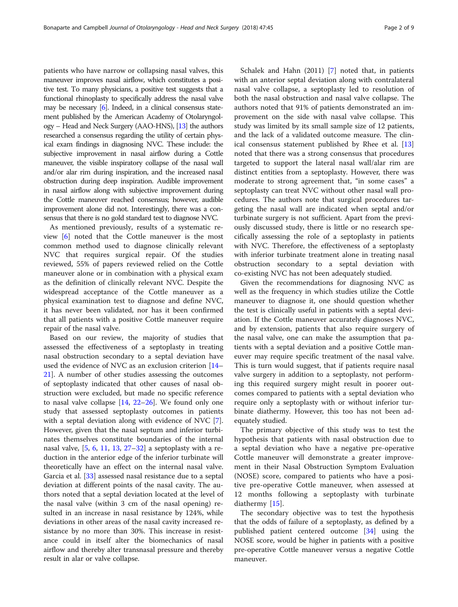patients who have narrow or collapsing nasal valves, this maneuver improves nasal airflow, which constitutes a positive test. To many physicians, a positive test suggests that a functional rhinoplasty to specifically address the nasal valve may be necessary [\[6\]](#page-7-0). Indeed, in a clinical consensus statement published by the American Academy of Otolaryngology – Head and Neck Surgery (AAO-HNS), [\[13](#page-8-0)] the authors researched a consensus regarding the utility of certain physical exam findings in diagnosing NVC. These include: the subjective improvement in nasal airflow during a Cottle maneuver, the visible inspiratory collapse of the nasal wall and/or alar rim during inspiration, and the increased nasal obstruction during deep inspiration. Audible improvement in nasal airflow along with subjective improvement during the Cottle maneuver reached consensus; however, audible improvement alone did not. Interestingly, there was a consensus that there is no gold standard test to diagnose NVC.

As mentioned previously, results of a systematic review [\[6](#page-7-0)] noted that the Cottle maneuver is the most common method used to diagnose clinically relevant NVC that requires surgical repair. Of the studies reviewed, 55% of papers reviewed relied on the Cottle maneuver alone or in combination with a physical exam as the definition of clinically relevant NVC. Despite the widespread acceptance of the Cottle maneuver as a physical examination test to diagnose and define NVC, it has never been validated, nor has it been confirmed that all patients with a positive Cottle maneuver require repair of the nasal valve.

Based on our review, the majority of studies that assessed the effectiveness of a septoplasty in treating nasal obstruction secondary to a septal deviation have used the evidence of NVC as an exclusion criterion [[14](#page-8-0)– [21\]](#page-8-0). A number of other studies assessing the outcomes of septoplasty indicated that other causes of nasal obstruction were excluded, but made no specific reference to nasal valve collapse  $[14, 22-26]$  $[14, 22-26]$  $[14, 22-26]$  $[14, 22-26]$  $[14, 22-26]$ . We found only one study that assessed septoplasty outcomes in patients with a septal deviation along with evidence of NVC [\[7](#page-7-0)]. However, given that the nasal septum and inferior turbinates themselves constitute boundaries of the internal nasal valve,  $[5, 6, 11, 13, 27-32]$  $[5, 6, 11, 13, 27-32]$  $[5, 6, 11, 13, 27-32]$  $[5, 6, 11, 13, 27-32]$  $[5, 6, 11, 13, 27-32]$  $[5, 6, 11, 13, 27-32]$  $[5, 6, 11, 13, 27-32]$  $[5, 6, 11, 13, 27-32]$  $[5, 6, 11, 13, 27-32]$  $[5, 6, 11, 13, 27-32]$  $[5, 6, 11, 13, 27-32]$  $[5, 6, 11, 13, 27-32]$  a septoplasty with a reduction in the anterior edge of the inferior turbinate will theoretically have an effect on the internal nasal valve. Garcia et al. [[33\]](#page-8-0) assessed nasal resistance due to a septal deviation at different points of the nasal cavity. The authors noted that a septal deviation located at the level of the nasal valve (within 3 cm of the nasal opening) resulted in an increase in nasal resistance by 124%, while deviations in other areas of the nasal cavity increased resistance by no more than 30%. This increase in resistance could in itself alter the biomechanics of nasal airflow and thereby alter transnasal pressure and thereby result in alar or valve collapse.

Schalek and Hahn (2011) [[7\]](#page-7-0) noted that, in patients with an anterior septal deviation along with contralateral nasal valve collapse, a septoplasty led to resolution of both the nasal obstruction and nasal valve collapse. The authors noted that 91% of patients demonstrated an improvement on the side with nasal valve collapse. This study was limited by its small sample size of 12 patients, and the lack of a validated outcome measure. The clinical consensus statement published by Rhee et al. [[13](#page-8-0)] noted that there was a strong consensus that procedures targeted to support the lateral nasal wall/alar rim are distinct entities from a septoplasty. However, there was moderate to strong agreement that, "in some cases" a septoplasty can treat NVC without other nasal wall procedures. The authors note that surgical procedures targeting the nasal wall are indicated when septal and/or turbinate surgery is not sufficient. Apart from the previously discussed study, there is little or no research specifically assessing the role of a septoplasty in patients with NVC. Therefore, the effectiveness of a septoplasty with inferior turbinate treatment alone in treating nasal obstruction secondary to a septal deviation with co-existing NVC has not been adequately studied.

Given the recommendations for diagnosing NVC as well as the frequency in which studies utilize the Cottle maneuver to diagnose it, one should question whether the test is clinically useful in patients with a septal deviation. If the Cottle maneuver accurately diagnoses NVC, and by extension, patients that also require surgery of the nasal valve, one can make the assumption that patients with a septal deviation and a positive Cottle maneuver may require specific treatment of the nasal valve. This is turn would suggest, that if patients require nasal valve surgery in addition to a septoplasty, not performing this required surgery might result in poorer outcomes compared to patients with a septal deviation who require only a septoplasty with or without inferior turbinate diathermy. However, this too has not been adequately studied.

The primary objective of this study was to test the hypothesis that patients with nasal obstruction due to a septal deviation who have a negative pre-operative Cottle maneuver will demonstrate a greater improvement in their Nasal Obstruction Symptom Evaluation (NOSE) score, compared to patients who have a positive pre-operative Cottle maneuver, when assessed at 12 months following a septoplasty with turbinate diathermy [[15](#page-8-0)].

The secondary objective was to test the hypothesis that the odds of failure of a septoplasty, as defined by a published patient centered outcome [\[34\]](#page-8-0) using the NOSE score, would be higher in patients with a positive pre-operative Cottle maneuver versus a negative Cottle maneuver.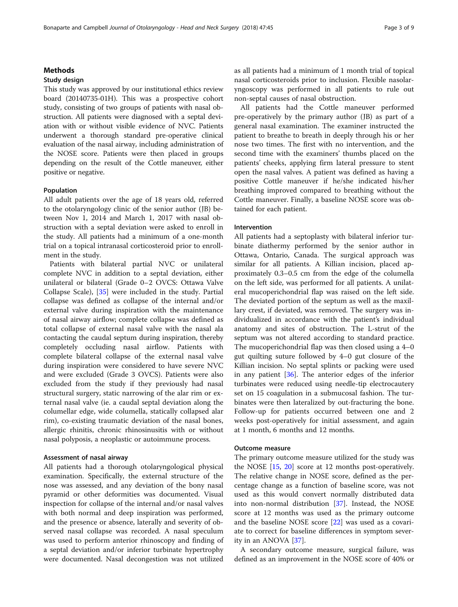## Methods

## Study design

This study was approved by our institutional ethics review board (20140735-01H). This was a prospective cohort study, consisting of two groups of patients with nasal obstruction. All patients were diagnosed with a septal deviation with or without visible evidence of NVC. Patients underwent a thorough standard pre-operative clinical evaluation of the nasal airway, including administration of the NOSE score. Patients were then placed in groups depending on the result of the Cottle maneuver, either positive or negative.

### Population

All adult patients over the age of 18 years old, referred to the otolaryngology clinic of the senior author (JB) between Nov 1, 2014 and March 1, 2017 with nasal obstruction with a septal deviation were asked to enroll in the study. All patients had a minimum of a one-month trial on a topical intranasal corticosteroid prior to enrollment in the study.

Patients with bilateral partial NVC or unilateral complete NVC in addition to a septal deviation, either unilateral or bilateral (Grade 0–2 OVCS: Ottawa Valve Collapse Scale), [[35](#page-8-0)] were included in the study. Partial collapse was defined as collapse of the internal and/or external valve during inspiration with the maintenance of nasal airway airflow; complete collapse was defined as total collapse of external nasal valve with the nasal ala contacting the caudal septum during inspiration, thereby completely occluding nasal airflow. Patients with complete bilateral collapse of the external nasal valve during inspiration were considered to have severe NVC and were excluded (Grade 3 OVCS). Patients were also excluded from the study if they previously had nasal structural surgery, static narrowing of the alar rim or external nasal valve (ie. a caudal septal deviation along the columellar edge, wide columella, statically collapsed alar rim), co-existing traumatic deviation of the nasal bones, allergic rhinitis, chronic rhinosinusitis with or without nasal polyposis, a neoplastic or autoimmune process.

#### Assessment of nasal airway

All patients had a thorough otolaryngological physical examination. Specifically, the external structure of the nose was assessed, and any deviation of the bony nasal pyramid or other deformities was documented. Visual inspection for collapse of the internal and/or nasal valves with both normal and deep inspiration was performed, and the presence or absence, laterally and severity of observed nasal collapse was recorded. A nasal speculum was used to perform anterior rhinoscopy and finding of a septal deviation and/or inferior turbinate hypertrophy were documented. Nasal decongestion was not utilized as all patients had a minimum of 1 month trial of topical nasal corticosteroids prior to inclusion. Flexible nasolaryngoscopy was performed in all patients to rule out non-septal causes of nasal obstruction.

All patients had the Cottle maneuver performed pre-operatively by the primary author (JB) as part of a general nasal examination. The examiner instructed the patient to breathe to breath in deeply through his or her nose two times. The first with no intervention, and the second time with the examiners' thumbs placed on the patients' cheeks, applying firm lateral pressure to stent open the nasal valves. A patient was defined as having a positive Cottle maneuver if he/she indicated his/her breathing improved compared to breathing without the Cottle maneuver. Finally, a baseline NOSE score was obtained for each patient.

#### Intervention

All patients had a septoplasty with bilateral inferior turbinate diathermy performed by the senior author in Ottawa, Ontario, Canada. The surgical approach was similar for all patients. A Killian incision, placed approximately 0.3–0.5 cm from the edge of the columella on the left side, was performed for all patients. A unilateral mucoperichondrial flap was raised on the left side. The deviated portion of the septum as well as the maxillary crest, if deviated, was removed. The surgery was individualized in accordance with the patient's individual anatomy and sites of obstruction. The L-strut of the septum was not altered according to standard practice. The mucoperichondrial flap was then closed using a 4–0 gut quilting suture followed by 4–0 gut closure of the Killian incision. No septal splints or packing were used in any patient [[36\]](#page-8-0). The anterior edges of the inferior turbinates were reduced using needle-tip electrocautery set on 15 coagulation in a submucosal fashion. The turbinates were then lateralized by out-fracturing the bone. Follow-up for patients occurred between one and 2 weeks post-operatively for initial assessment, and again at 1 month, 6 months and 12 months.

#### Outcome measure

The primary outcome measure utilized for the study was the NOSE [[15,](#page-8-0) [20\]](#page-8-0) score at 12 months post-operatively. The relative change in NOSE score, defined as the percentage change as a function of baseline score, was not used as this would convert normally distributed data into non-normal distribution [[37\]](#page-8-0). Instead, the NOSE score at 12 months was used as the primary outcome and the baseline NOSE score [\[22](#page-8-0)] was used as a covariate to correct for baseline differences in symptom severity in an ANOVA [[37](#page-8-0)].

A secondary outcome measure, surgical failure, was defined as an improvement in the NOSE score of 40% or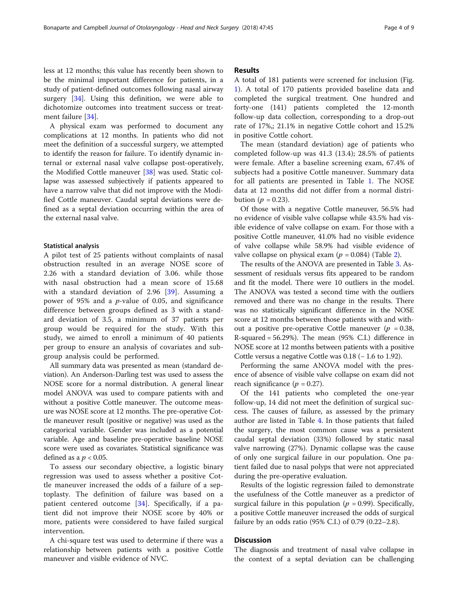less at 12 months; this value has recently been shown to be the minimal important difference for patients, in a study of patient-defined outcomes following nasal airway surgery [\[34\]](#page-8-0). Using this definition, we were able to dichotomize outcomes into treatment success or treatment failure [[34\]](#page-8-0).

A physical exam was performed to document any complications at 12 months. In patients who did not meet the definition of a successful surgery, we attempted to identify the reason for failure. To identify dynamic internal or external nasal valve collapse post-operatively, the Modified Cottle maneuver [\[38\]](#page-8-0) was used. Static collapse was assessed subjectively if patients appeared to have a narrow valve that did not improve with the Modified Cottle maneuver. Caudal septal deviations were defined as a septal deviation occurring within the area of the external nasal valve.

## Statistical analysis

A pilot test of 25 patients without complaints of nasal obstruction resulted in an average NOSE score of 2.26 with a standard deviation of 3.06. while those with nasal obstruction had a mean score of 15.68 with a standard deviation of 2.96 [\[39](#page-8-0)]. Assuming a power of 95% and a p-value of 0.05, and significance difference between groups defined as 3 with a standard deviation of 3.5, a minimum of 37 patients per group would be required for the study. With this study, we aimed to enroll a minimum of 40 patients per group to ensure an analysis of covariates and subgroup analysis could be performed.

All summary data was presented as mean (standard deviation). An Anderson-Darling test was used to assess the NOSE score for a normal distribution. A general linear model ANOVA was used to compare patients with and without a positive Cottle maneuver. The outcome measure was NOSE score at 12 months. The pre-operative Cottle maneuver result (positive or negative) was used as the categorical variable. Gender was included as a potential variable. Age and baseline pre-operative baseline NOSE score were used as covariates. Statistical significance was defined as a  $p < 0.05$ .

To assess our secondary objective, a logistic binary regression was used to assess whether a positive Cottle maneuver increased the odds of a failure of a septoplasty. The definition of failure was based on a patient centered outcome [[34\]](#page-8-0). Specifically, if a patient did not improve their NOSE score by 40% or more, patients were considered to have failed surgical intervention.

A chi-square test was used to determine if there was a relationship between patients with a positive Cottle maneuver and visible evidence of NVC.

## Results

A total of 181 patients were screened for inclusion (Fig. [1\)](#page-4-0). A total of 170 patients provided baseline data and completed the surgical treatment. One hundred and forty-one (141) patients completed the 12-month follow-up data collection, corresponding to a drop-out rate of 17%,; 21.1% in negative Cottle cohort and 15.2% in positive Cottle cohort.

The mean (standard deviation) age of patients who completed follow-up was 41.3 (13.4); 28.5% of patients were female. After a baseline screening exam, 67.4% of subjects had a positive Cottle maneuver. Summary data for all patients are presented in Table [1.](#page-5-0) The NOSE data at 12 months did not differ from a normal distribution ( $p = 0.23$ ).

Of those with a negative Cottle maneuver, 56.5% had no evidence of visible valve collapse while 43.5% had visible evidence of valve collapse on exam. For those with a positive Cottle maneuver, 41.0% had no visible evidence of valve collapse while 58.9% had visible evidence of valve collapse on physical exam ( $p = 0.084$ ) (Table [2](#page-5-0)).

The results of the ANOVA are presented in Table [3](#page-6-0). Assessment of residuals versus fits appeared to be random and fit the model. There were 10 outliers in the model. The ANOVA was tested a second time with the outliers removed and there was no change in the results. There was no statistically significant difference in the NOSE score at 12 months between those patients with and without a positive pre-operative Cottle maneuver ( $p = 0.38$ , R-squared =  $56.29\%$ ). The mean ( $95\%$  C.I.) difference in NOSE score at 12 months between patients with a positive Cottle versus a negative Cottle was 0.18 (− 1.6 to 1.92).

Performing the same ANOVA model with the presence of absence of visible valve collapse on exam did not reach significance ( $p = 0.27$ ).

Of the 141 patients who completed the one-year follow-up, 14 did not meet the definition of surgical success. The causes of failure, as assessed by the primary author are listed in Table [4](#page-6-0). In those patients that failed the surgery, the most common cause was a persistent caudal septal deviation (33%) followed by static nasal valve narrowing (27%). Dynamic collapse was the cause of only one surgical failure in our population. One patient failed due to nasal polyps that were not appreciated during the pre-operative evaluation.

Results of the logistic regression failed to demonstrate the usefulness of the Cottle maneuver as a predictor of surgical failure in this population ( $p = 0.99$ ). Specifically, a positive Cottle maneuver increased the odds of surgical failure by an odds ratio (95% C.I.) of 0.79 (0.22–2.8).

## **Discussion**

The diagnosis and treatment of nasal valve collapse in the context of a septal deviation can be challenging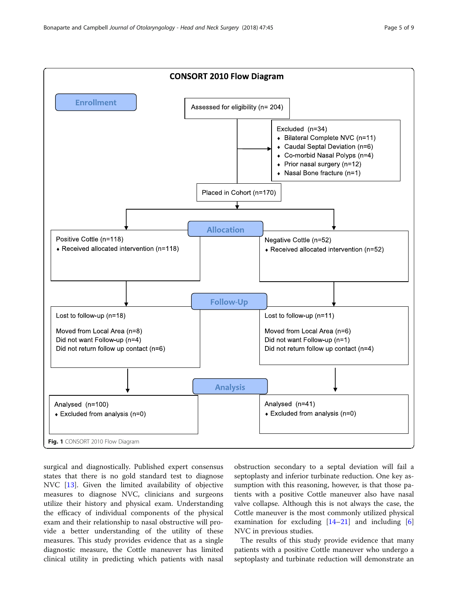<span id="page-4-0"></span>

surgical and diagnostically. Published expert consensus states that there is no gold standard test to diagnose NVC [[13\]](#page-8-0). Given the limited availability of objective measures to diagnose NVC, clinicians and surgeons utilize their history and physical exam. Understanding the efficacy of individual components of the physical exam and their relationship to nasal obstructive will provide a better understanding of the utility of these measures. This study provides evidence that as a single diagnostic measure, the Cottle maneuver has limited clinical utility in predicting which patients with nasal

obstruction secondary to a septal deviation will fail a septoplasty and inferior turbinate reduction. One key assumption with this reasoning, however, is that those patients with a positive Cottle maneuver also have nasal valve collapse. Although this is not always the case, the Cottle maneuver is the most commonly utilized physical examination for excluding [\[14](#page-8-0)–[21\]](#page-8-0) and including [\[6](#page-7-0)] NVC in previous studies.

The results of this study provide evidence that many patients with a positive Cottle maneuver who undergo a septoplasty and turbinate reduction will demonstrate an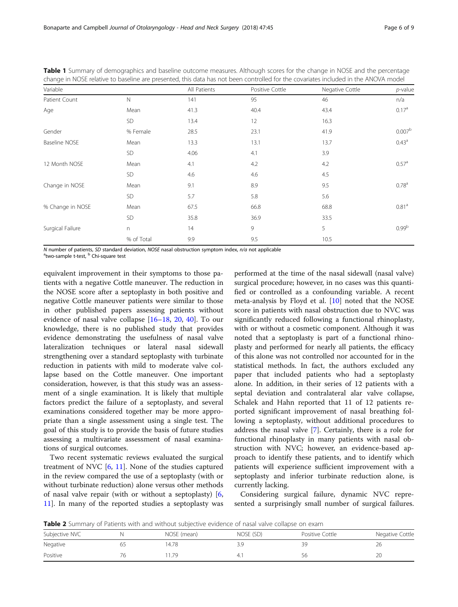| change in NOSE relative to baseline are presented, this data has not been controlled for the covariates included in the ANOVA model |            |              |                 |                 |                   |  |
|-------------------------------------------------------------------------------------------------------------------------------------|------------|--------------|-----------------|-----------------|-------------------|--|
| Variable                                                                                                                            |            | All Patients | Positive Cottle | Negative Cottle | $p$ -value        |  |
| Patient Count                                                                                                                       | N          | 141          | 95              | 46              | n/a               |  |
| Age                                                                                                                                 | Mean       | 41.3         | 40.4            | 43.4            | 0.17 <sup>a</sup> |  |
|                                                                                                                                     | <b>SD</b>  | 13.4         | 12              | 16.3            |                   |  |
| Gender                                                                                                                              | % Female   | 28.5         | 23.1            | 41.9            | $0.007^{\rm b}$   |  |
| <b>Baseline NOSE</b>                                                                                                                | Mean       | 13.3         | 13.1            | 13.7            | 0.43 <sup>a</sup> |  |
|                                                                                                                                     | SD         | 4.06         | 4.1             | 3.9             |                   |  |
| 12 Month NOSE                                                                                                                       | Mean       | 4.1          | 4.2             | 4.2             | 0.57 <sup>a</sup> |  |
|                                                                                                                                     | SD         | 4.6          | 4.6             | 4.5             |                   |  |
| Change in NOSE                                                                                                                      | Mean       | 9.1          | 8.9             | 9.5             | 0.78 <sup>a</sup> |  |
|                                                                                                                                     | <b>SD</b>  | 5.7          | 5.8             | 5.6             |                   |  |
| % Change in NOSE                                                                                                                    | Mean       | 67.5         | 66.8            | 68.8            | 0.81 <sup>a</sup> |  |
|                                                                                                                                     | SD         | 35.8         | 36.9            | 33.5            |                   |  |
| Surgical Failure                                                                                                                    | n.         | 14           | 9               | 5               | 0.99 <sup>b</sup> |  |
|                                                                                                                                     | % of Total | 9.9          | 9.5             | 10.5            |                   |  |

<span id="page-5-0"></span>Table 1 Summary of demographics and baseline outcome measures. Although scores for the change in NOSE and the percentage

N number of patients, SD standard deviation, NOSE nasal obstruction symptom index, n/a not applicable

<sup>a</sup>two-sample t-test, <sup>b</sup> Chi-square test

equivalent improvement in their symptoms to those patients with a negative Cottle maneuver. The reduction in the NOSE score after a septoplasty in both positive and negative Cottle maneuver patients were similar to those in other published papers assessing patients without evidence of nasal valve collapse [\[16](#page-8-0)–[18,](#page-8-0) [20](#page-8-0), [40](#page-8-0)]. To our knowledge, there is no published study that provides evidence demonstrating the usefulness of nasal valve lateralization techniques or lateral nasal sidewall strengthening over a standard septoplasty with turbinate reduction in patients with mild to moderate valve collapse based on the Cottle maneuver. One important consideration, however, is that this study was an assessment of a single examination. It is likely that multiple factors predict the failure of a septoplasty, and several examinations considered together may be more appropriate than a single assessment using a single test. The goal of this study is to provide the basis of future studies assessing a multivariate assessment of nasal examinations of surgical outcomes.

Two recent systematic reviews evaluated the surgical treatment of NVC  $[6, 11]$  $[6, 11]$  $[6, 11]$  $[6, 11]$  $[6, 11]$ . None of the studies captured in the review compared the use of a septoplasty (with or without turbinate reduction) alone versus other methods of nasal valve repair (with or without a septoplasty) [\[6](#page-7-0), [11\]](#page-8-0). In many of the reported studies a septoplasty was performed at the time of the nasal sidewall (nasal valve) surgical procedure; however, in no cases was this quantified or controlled as a confounding variable. A recent meta-analysis by Floyd et al. [[10](#page-8-0)] noted that the NOSE score in patients with nasal obstruction due to NVC was significantly reduced following a functional rhinoplasty, with or without a cosmetic component. Although it was noted that a septoplasty is part of a functional rhinoplasty and performed for nearly all patients, the efficacy of this alone was not controlled nor accounted for in the statistical methods. In fact, the authors excluded any paper that included patients who had a septoplasty alone. In addition, in their series of 12 patients with a septal deviation and contralateral alar valve collapse, Schalek and Hahn reported that 11 of 12 patients reported significant improvement of nasal breathing following a septoplasty, without additional procedures to address the nasal valve [\[7](#page-7-0)]. Certainly, there is a role for functional rhinoplasty in many patients with nasal obstruction with NVC; however, an evidence-based approach to identify these patients, and to identify which patients will experience sufficient improvement with a septoplasty and inferior turbinate reduction alone, is currently lacking.

Considering surgical failure, dynamic NVC represented a surprisingly small number of surgical failures.

Table 2 Summary of Patients with and without subjective evidence of nasal valve collapse on exam

| Subjective NVC |    | NOSE (mean) | NOSE (SD) | Positive Cottle | Negative Cottle |
|----------------|----|-------------|-----------|-----------------|-----------------|
| Negative       |    | 14.78       |           | 3G              | 26              |
| Positive       | 16 | -79         | 4         | 56              | 20              |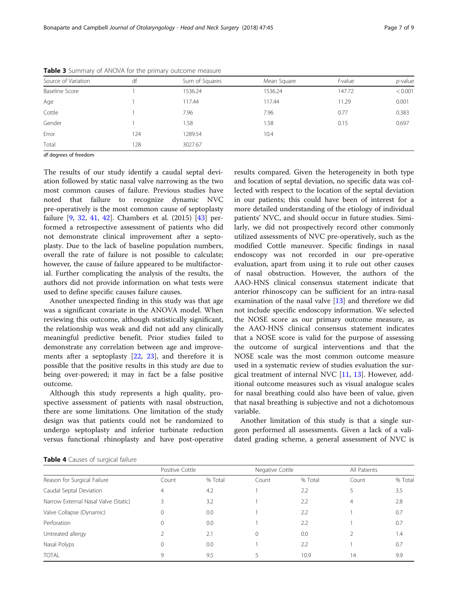| Source of Variation   | df  | Sum of Squares | Mean Square | f-value | $p$ -value |  |
|-----------------------|-----|----------------|-------------|---------|------------|--|
| <b>Baseline Score</b> |     | 1536.24        | 1536.24     | 147.72  | < 0.001    |  |
| Age                   |     | 17.44          | 117.44      | 11.29   | 0.001      |  |
| Cottle                |     | 7.96           | 7.96        | 0.77    | 0.383      |  |
| Gender                |     | .58            | 1.58        | 0.15    | 0.697      |  |
| Error                 | 124 | 289.54         | 10.4        |         |            |  |
| Total                 | 128 | 3027.67        |             |         |            |  |

<span id="page-6-0"></span>Table 3 Summary of ANOVA for the primary outcome measure

df degrees of freedom

The results of our study identify a caudal septal deviation followed by static nasal valve narrowing as the two most common causes of failure. Previous studies have noted that failure to recognize dynamic NVC pre-operatively is the most common cause of septoplasty failure [[9,](#page-7-0) [32,](#page-8-0) [41,](#page-8-0) [42](#page-8-0)]. Chambers et al. (2015) [[43\]](#page-8-0) performed a retrospective assessment of patients who did not demonstrate clinical improvement after a septoplasty. Due to the lack of baseline population numbers, overall the rate of failure is not possible to calculate; however, the cause of failure appeared to be multifactorial. Further complicating the analysis of the results, the authors did not provide information on what tests were used to define specific causes failure causes.

Another unexpected finding in this study was that age was a significant covariate in the ANOVA model. When reviewing this outcome, although statistically significant, the relationship was weak and did not add any clinically meaningful predictive benefit. Prior studies failed to demonstrate any correlation between age and improvements after a septoplasty [[22,](#page-8-0) [23\]](#page-8-0), and therefore it is possible that the positive results in this study are due to being over-powered; it may in fact be a false positive outcome.

Although this study represents a high quality, prospective assessment of patients with nasal obstruction, there are some limitations. One limitation of the study design was that patients could not be randomized to undergo septoplasty and inferior turbinate reduction versus functional rhinoplasty and have post-operative results compared. Given the heterogeneity in both type and location of septal deviation, no specific data was collected with respect to the location of the septal deviation in our patients; this could have been of interest for a more detailed understanding of the etiology of individual patients' NVC, and should occur in future studies. Similarly, we did not prospectively record other commonly utilized assessments of NVC pre-operatively, such as the modified Cottle maneuver. Specific findings in nasal endoscopy was not recorded in our pre-operative evaluation, apart from using it to rule out other causes of nasal obstruction. However, the authors of the AAO-HNS clinical consensus statement indicate that anterior rhinoscopy can be sufficient for an intra-nasal examination of the nasal valve [\[13](#page-8-0)] and therefore we did not include specific endoscopy information. We selected the NOSE score as our primary outcome measure, as the AAO-HNS clinical consensus statement indicates that a NOSE score is valid for the purpose of assessing the outcome of surgical interventions and that the NOSE scale was the most common outcome measure used in a systematic review of studies evaluation the sur-gical treatment of internal NVC [[11](#page-8-0), [13\]](#page-8-0). However, additional outcome measures such as visual analogue scales for nasal breathing could also have been of value, given that nasal breathing is subjective and not a dichotomous variable.

Another limitation of this study is that a single surgeon performed all assessments. Given a lack of a validated grading scheme, a general assessment of NVC is

| Table 4 Causes of surgical failure |  |  |
|------------------------------------|--|--|
|------------------------------------|--|--|

|                                      | Positive Cottle |         | Negative Cottle |         | All Patients |         |
|--------------------------------------|-----------------|---------|-----------------|---------|--------------|---------|
| Reason for Surgical Failure          | Count           | % Total | Count           | % Total | Count        | % Total |
| Caudal Septal Deviation              | 4               | 4.2     |                 | 2.2     |              | 3.5     |
| Narrow External Nasal Valve (Static) | 3               | 3.2     |                 | 2.2     | 4            | 2.8     |
| Valve Collapse (Dynamic)             | 0               | 0.0     |                 | 2.2     |              | 0.7     |
| Perforation                          | 0               | 0.0     |                 | 2.2     |              | 0.7     |
| Untreated allergy                    |                 | 2.1     | $\Omega$        | 0.0     |              | 1.4     |
| Nasal Polyps                         | 0               | 0.0     |                 | 2.2     |              | 0.7     |
| <b>TOTAL</b>                         | 9               | 9.5     |                 | 10.9    | 14           | 9.9     |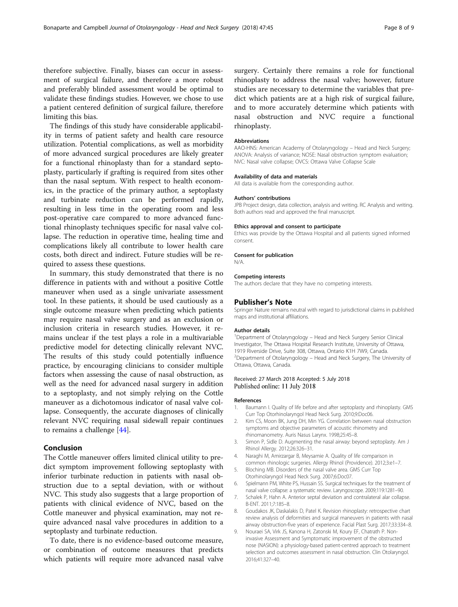<span id="page-7-0"></span>therefore subjective. Finally, biases can occur in assessment of surgical failure, and therefore a more robust and preferably blinded assessment would be optimal to validate these findings studies. However, we chose to use a patient centered definition of surgical failure, therefore limiting this bias.

The findings of this study have considerable applicability in terms of patient safety and health care resource utilization. Potential complications, as well as morbidity of more advanced surgical procedures are likely greater for a functional rhinoplasty than for a standard septoplasty, particularly if grafting is required from sites other than the nasal septum. With respect to health economics, in the practice of the primary author, a septoplasty and turbinate reduction can be performed rapidly, resulting in less time in the operating room and less post-operative care compared to more advanced functional rhinoplasty techniques specific for nasal valve collapse. The reduction in operative time, healing time and complications likely all contribute to lower health care costs, both direct and indirect. Future studies will be required to assess these questions.

In summary, this study demonstrated that there is no difference in patients with and without a positive Cottle maneuver when used as a single univariate assessment tool. In these patients, it should be used cautiously as a single outcome measure when predicting which patients may require nasal valve surgery and as an exclusion or inclusion criteria in research studies. However, it remains unclear if the test plays a role in a multivariable predictive model for detecting clinically relevant NVC. The results of this study could potentially influence practice, by encouraging clinicians to consider multiple factors when assessing the cause of nasal obstruction, as well as the need for advanced nasal surgery in addition to a septoplasty, and not simply relying on the Cottle maneuver as a dichotomous indicator of nasal valve collapse. Consequently, the accurate diagnoses of clinically relevant NVC requiring nasal sidewall repair continues to remains a challenge [[44\]](#page-8-0).

## Conclusion

The Cottle maneuver offers limited clinical utility to predict symptom improvement following septoplasty with inferior turbinate reduction in patients with nasal obstruction due to a septal deviation, with or without NVC. This study also suggests that a large proportion of patients with clinical evidence of NVC, based on the Cottle maneuver and physical examination, may not require advanced nasal valve procedures in addition to a septoplasty and turbinate reduction.

To date, there is no evidence-based outcome measure, or combination of outcome measures that predicts which patients will require more advanced nasal valve surgery. Certainly there remains a role for functional rhinoplasty to address the nasal valve; however, future studies are necessary to determine the variables that predict which patients are at a high risk of surgical failure, and to more accurately determine which patients with nasal obstruction and NVC require a functional rhinoplasty.

#### Abbreviations

AAO-HNS: American Academy of Otolaryngology – Head and Neck Surgery; ANOVA: Analysis of variance; NOSE: Nasal obstruction symptom evaluation; NVC: Nasal valve collapse; OVCS: Ottawa Valve Collapse Scale

#### Availability of data and materials

All data is available from the corresponding author.

#### Authors' contributions

JPB Project design, data collection, analysis and writing. RC Analysis and writing. Both authors read and approved the final manuscript.

#### Ethics approval and consent to participate

Ethics was provide by the Ottawa Hospital and all patients signed informed consent.

#### Consent for publication

N/A.

#### Competing interests

The authors declare that they have no competing interests.

#### Publisher's Note

Springer Nature remains neutral with regard to jurisdictional claims in published maps and institutional affiliations.

#### Author details

<sup>1</sup>Department of Otolaryngology - Head and Neck Surgery Senior Clinical Investigator, The Ottawa Hospital Research Institute, University of Ottawa, 1919 Riverside Drive, Suite 308, Ottawa, Ontario K1H 7W9, Canada. <sup>2</sup>Department of Otolaryngology - Head and Neck Surgery, The University of Ottawa, Ottawa, Canada.

#### Received: 27 March 2018 Accepted: 5 July 2018 Published online: 11 July 2018

#### References

- 1. Baumann I. Quality of life before and after septoplasty and rhinoplasty. GMS Curr Top Otorhinolaryngol Head Neck Surg. 2010;9:Doc06.
- 2. Kim CS, Moon BK, Jung DH, Min YG. Correlation between nasal obstruction symptoms and objective parameters of acoustic rhinometry and rhinomanometry. Auris Nasus Larynx. 1998;25:45–8.
- 3. Simon P, Sidle D. Augmenting the nasal airway: beyond septoplasty. Am J Rhinol Allergy. 2012;26:326–31.
- 4. Naraghi M, Amirzargar B, Meysamie A. Quality of life comparison in common rhinologic surgeries. Allergy Rhinol (Providence). 2012;3:e1–7.
- 5. Bloching MB. Disorders of the nasal valve area. GMS Curr Top Otorhinolaryngol Head Neck Surg. 2007;6:Doc07.
- 6. Spielmann PM, White PS, Hussain SS. Surgical techniques for the treatment of nasal valve collapse: a systematic review. Laryngoscope. 2009;119:1281–90.
- Schalek P, Hahn A. Anterior septal deviation and contralateral alar collapse. B-ENT. 2011;7:185–8.
- 8. Goudakos JK, Daskalakis D, Patel K. Revision rhinoplasty: retrospective chart review analysis of deformities and surgical maneuvers in patients with nasal airway obstruction-five years of experience. Facial Plast Surg. 2017;33:334–8.
- 9. Nouraei SA, Virk JS, Kanona H, Zatonski M, Koury EF, Chatrath P. Noninvasive Assessment and Symptomatic improvement of the obstructed nose (NASION): a physiology-based patient-centred approach to treatment selection and outcomes assessment in nasal obstruction. Clin Otolaryngol. 2016;41:327–40.